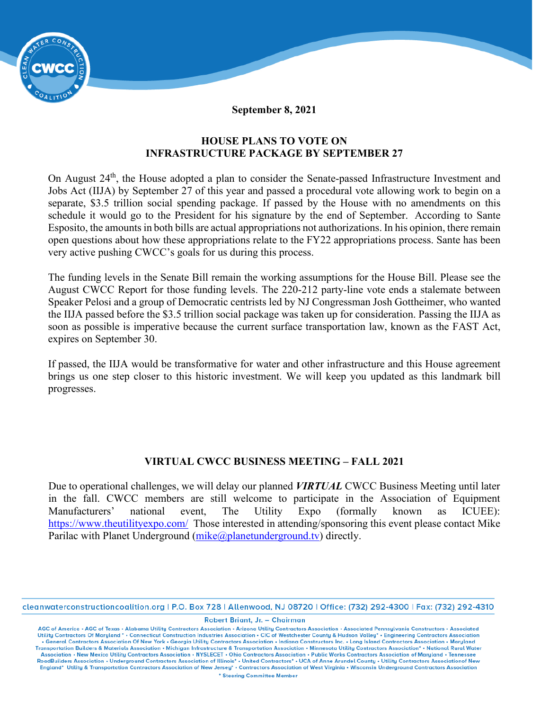

**September 8, 2021**

## **HOUSE PLANS TO VOTE ON INFRASTRUCTURE PACKAGE BY SEPTEMBER 27**

On August 24<sup>th</sup>, the House adopted a plan to consider the Senate-passed Infrastructure Investment and Jobs Act (IIJA) by September 27 of this year and passed a procedural vote allowing work to begin on a separate, \$3.5 trillion social spending package. If passed by the House with no amendments on this schedule it would go to the President for his signature by the end of September. According to Sante Esposito, the amounts in both bills are actual appropriations not authorizations. In his opinion, there remain open questions about how these appropriations relate to the FY22 appropriations process. Sante has been very active pushing CWCC's goals for us during this process.

The funding levels in the Senate Bill remain the working assumptions for the House Bill. Please see the August CWCC Report for those funding levels. The 220-212 party-line vote ends a stalemate between Speaker Pelosi and a group of Democratic centrists led by NJ Congressman Josh Gottheimer, who wanted the IIJA passed before the \$3.5 trillion social package was taken up for consideration. Passing the IIJA as soon as possible is imperative because the current surface transportation law, known as the FAST Act, expires on September 30.

If passed, the IIJA would be transformative for water and other infrastructure and this House agreement brings us one step closer to this historic investment. We will keep you updated as this landmark bill progresses.

## **VIRTUAL CWCC BUSINESS MEETING – FALL 2021**

Due to operational challenges, we will delay our planned *VIRTUAL* CWCC Business Meeting until later in the fall. CWCC members are still welcome to participate in the Association of Equipment Manufacturers' national event, The Utility Expo (formally known as ICUEE): <https://www.theutilityexpo.com/>Those interested in attending/sponsoring this event please contact Mike Parilac with Planet Underground [\(mike@planetunderground.tv\)](mailto:mike@planetunderground.tv) directly.

cleanwaterconstructioncoalition.org | P.O. Box 728 | Allenwood, NJ 08720 | Office: (732) 292-4300 | Fax: (732) 292-4310

Robert Briant, Jr. - Chairman

AGC of America • AGC of Texas • Alabama Utility Contractors Association • Arizona Utility Contractors Association • Associated Pennsylvania Constructors • Associated Utility Contractors Of Maryland • • Connecticut Construc . General Contractors Association Of New York . Georgia Utility Contractors Association . Indiana Constructors Inc. . Long Island Contractors Association . Maryland Transportation Builders & Materials Association • Michigan Infrastructure & Transportation Association • Minnesota Utility Contractors Association\* • National Rural Water Association • New Mexico Utility Contractors Association • NYSLECET • Ohio Contractors Association • Public Works Contractors Association of Maryland • Tennessee<br>RoadBuilders Association • Underground Contractors Associati England\* Utility & Transportation Contractors Association of New Jersey\* . Contractors Association of West Virginia . Wisconsin Underground Contractors Association \* Steering Committee Member